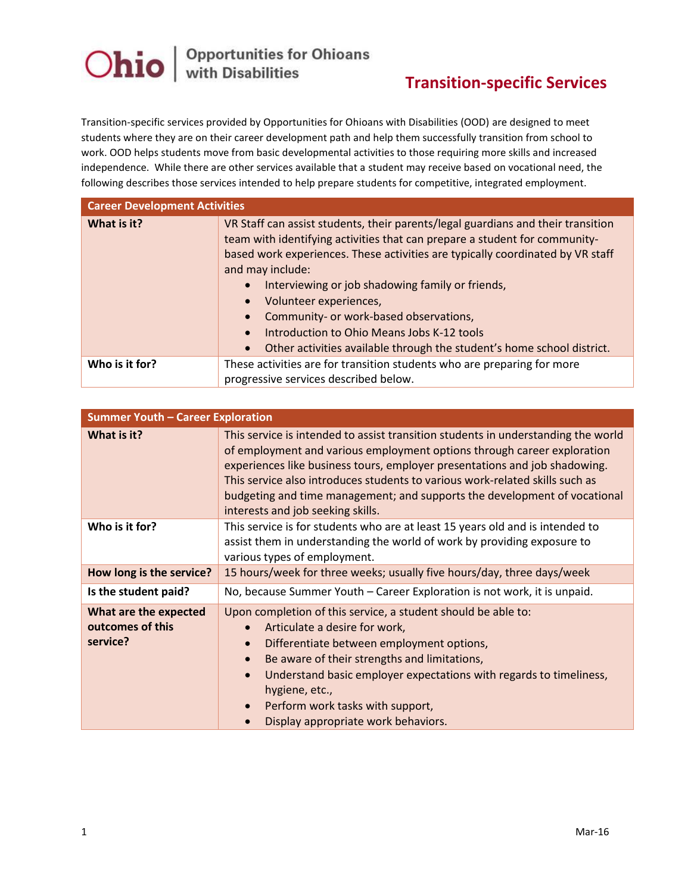

## **Transition-specific Services**

Transition-specific services provided by Opportunities for Ohioans with Disabilities (OOD) are designed to meet students where they are on their career development path and help them successfully transition from school to work. OOD helps students move from basic developmental activities to those requiring more skills and increased independence. While there are other services available that a student may receive based on vocational need, the following describes those services intended to help prepare students for competitive, integrated employment.

| <b>Career Development Activities</b> |                                                                                                                                                                                                                                                                                                                                                                                                                                                                                                                      |  |
|--------------------------------------|----------------------------------------------------------------------------------------------------------------------------------------------------------------------------------------------------------------------------------------------------------------------------------------------------------------------------------------------------------------------------------------------------------------------------------------------------------------------------------------------------------------------|--|
| What is it?                          | VR Staff can assist students, their parents/legal guardians and their transition<br>team with identifying activities that can prepare a student for community-<br>based work experiences. These activities are typically coordinated by VR staff<br>and may include:<br>Interviewing or job shadowing family or friends,<br>Volunteer experiences,<br>Community- or work-based observations,<br>Introduction to Ohio Means Jobs K-12 tools<br>Other activities available through the student's home school district. |  |
| Who is it for?                       | These activities are for transition students who are preparing for more<br>progressive services described below.                                                                                                                                                                                                                                                                                                                                                                                                     |  |

| <b>Summer Youth - Career Exploration</b>              |                                                                                                                                                                                                                                                                                                                                                                                                                                              |  |
|-------------------------------------------------------|----------------------------------------------------------------------------------------------------------------------------------------------------------------------------------------------------------------------------------------------------------------------------------------------------------------------------------------------------------------------------------------------------------------------------------------------|--|
| What is it?                                           | This service is intended to assist transition students in understanding the world<br>of employment and various employment options through career exploration<br>experiences like business tours, employer presentations and job shadowing.<br>This service also introduces students to various work-related skills such as<br>budgeting and time management; and supports the development of vocational<br>interests and job seeking skills. |  |
| Who is it for?                                        | This service is for students who are at least 15 years old and is intended to<br>assist them in understanding the world of work by providing exposure to<br>various types of employment.                                                                                                                                                                                                                                                     |  |
| How long is the service?                              | 15 hours/week for three weeks; usually five hours/day, three days/week                                                                                                                                                                                                                                                                                                                                                                       |  |
| Is the student paid?                                  | No, because Summer Youth - Career Exploration is not work, it is unpaid.                                                                                                                                                                                                                                                                                                                                                                     |  |
| What are the expected<br>outcomes of this<br>service? | Upon completion of this service, a student should be able to:<br>Articulate a desire for work,<br>$\bullet$<br>Differentiate between employment options,<br>$\bullet$<br>Be aware of their strengths and limitations,<br>$\bullet$<br>Understand basic employer expectations with regards to timeliness,<br>$\bullet$<br>hygiene, etc.,<br>Perform work tasks with support,<br>$\bullet$<br>Display appropriate work behaviors.<br>$\bullet$ |  |